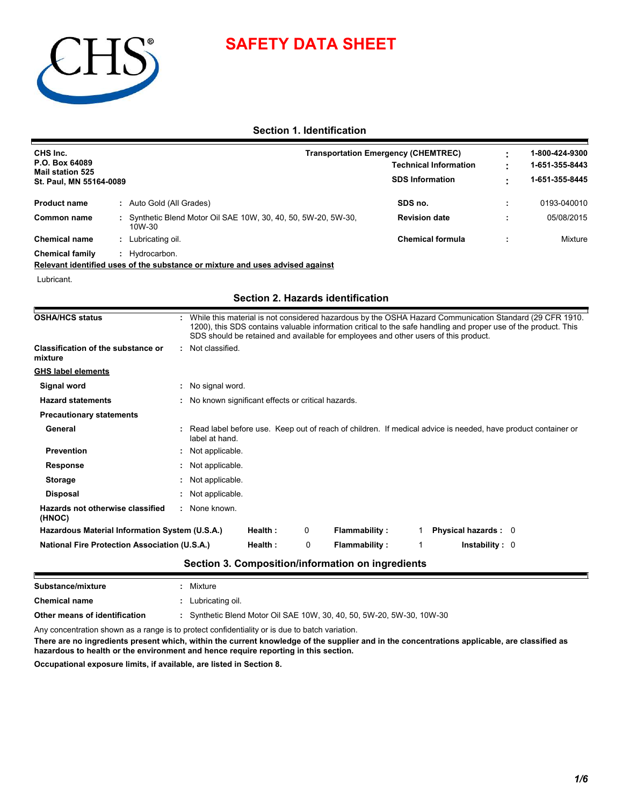# **SAFETY DATA SHEET**



### **Section 1. Identification**

| CHS Inc.<br>P.O. Box 64089<br><b>Mail station 525</b> |                                                                                                                                                                                                                                                                                                                   | <b>Transportation Emergency (CHEMTREC)</b><br><b>Technical Information</b> | 1-800-424-9300<br>1-651-355-8443 |
|-------------------------------------------------------|-------------------------------------------------------------------------------------------------------------------------------------------------------------------------------------------------------------------------------------------------------------------------------------------------------------------|----------------------------------------------------------------------------|----------------------------------|
| St. Paul, MN 55164-0089                               |                                                                                                                                                                                                                                                                                                                   | <b>SDS Information</b>                                                     | 1-651-355-8445                   |
| <b>Product name</b><br>: Auto Gold (All Grades)       |                                                                                                                                                                                                                                                                                                                   | SDS no.                                                                    | 0193-040010                      |
| <b>Common name</b><br>10W-30                          | Synthetic Blend Motor Oil SAE 10W, 30, 40, 50, 5W-20, 5W-30,                                                                                                                                                                                                                                                      | <b>Revision date</b>                                                       | 05/08/2015                       |
| <b>Chemical name</b><br>: Lubricating oil.            |                                                                                                                                                                                                                                                                                                                   | <b>Chemical formula</b>                                                    | Mixture                          |
| <b>Chemical family</b><br>: Hydrocarbon.              |                                                                                                                                                                                                                                                                                                                   |                                                                            |                                  |
|                                                       | Relevant identified uses of the substance or mixture and uses advised against                                                                                                                                                                                                                                     |                                                                            |                                  |
| Lubricant.                                            |                                                                                                                                                                                                                                                                                                                   |                                                                            |                                  |
|                                                       | <b>Section 2. Hazards identification</b>                                                                                                                                                                                                                                                                          |                                                                            |                                  |
| <b>OSHA/HCS status</b>                                | While this material is not considered hazardous by the OSHA Hazard Communication Standard (29 CFR 1910.<br>1200), this SDS contains valuable information critical to the safe handling and proper use of the product. This<br>SDS should be retained and available for employees and other users of this product. |                                                                            |                                  |
| <b>Classification of the substance or</b><br>mixture  | : Not classified.                                                                                                                                                                                                                                                                                                 |                                                                            |                                  |
| <b>GHS label elements</b>                             |                                                                                                                                                                                                                                                                                                                   |                                                                            |                                  |
| Signal word                                           | : No signal word.                                                                                                                                                                                                                                                                                                 |                                                                            |                                  |
| <b>Hazard statements</b>                              | : No known significant effects or critical hazards.                                                                                                                                                                                                                                                               |                                                                            |                                  |
| <b>Precautionary statements</b>                       |                                                                                                                                                                                                                                                                                                                   |                                                                            |                                  |
| General                                               | Read label before use. Keep out of reach of children. If medical advice is needed, have product container or<br>label at hand.                                                                                                                                                                                    |                                                                            |                                  |
| <b>Prevention</b>                                     | Not applicable.                                                                                                                                                                                                                                                                                                   |                                                                            |                                  |
| <b>Response</b>                                       | Not applicable.                                                                                                                                                                                                                                                                                                   |                                                                            |                                  |
| <b>Storage</b>                                        | Not applicable.                                                                                                                                                                                                                                                                                                   |                                                                            |                                  |
| <b>Disposal</b>                                       | Not applicable.                                                                                                                                                                                                                                                                                                   |                                                                            |                                  |
| Hazards not otherwise classified<br>(HNOC)            | : None known.                                                                                                                                                                                                                                                                                                     |                                                                            |                                  |
| Hazardous Material Information System (U.S.A.)        | Health:<br>0<br><b>Flammability:</b>                                                                                                                                                                                                                                                                              | Physical hazards : 0<br>1                                                  |                                  |
| <b>National Fire Protection Association (U.S.A.)</b>  | Health:<br>0<br><b>Flammability:</b>                                                                                                                                                                                                                                                                              | <b>Instability: 0</b><br>$\mathbf{1}$                                      |                                  |
|                                                       | Section 3. Composition/information on ingredients                                                                                                                                                                                                                                                                 |                                                                            |                                  |
| Substance/mixture                                     | Mixture                                                                                                                                                                                                                                                                                                           |                                                                            |                                  |
| <b>Chemical name</b>                                  | : Lubricating oil.                                                                                                                                                                                                                                                                                                |                                                                            |                                  |
| Other means of identification                         | Synthetic Blend Motor Oil SAE 10W, 30, 40, 50, 5W-20, 5W-30, 10W-30                                                                                                                                                                                                                                               |                                                                            |                                  |

Any concentration shown as a range is to protect confidentiality or is due to batch variation.

**There are no ingredients present which, within the current knowledge of the supplier and in the concentrations applicable, are classified as hazardous to health or the environment and hence require reporting in this section.**

**Occupational exposure limits, if available, are listed in Section 8.**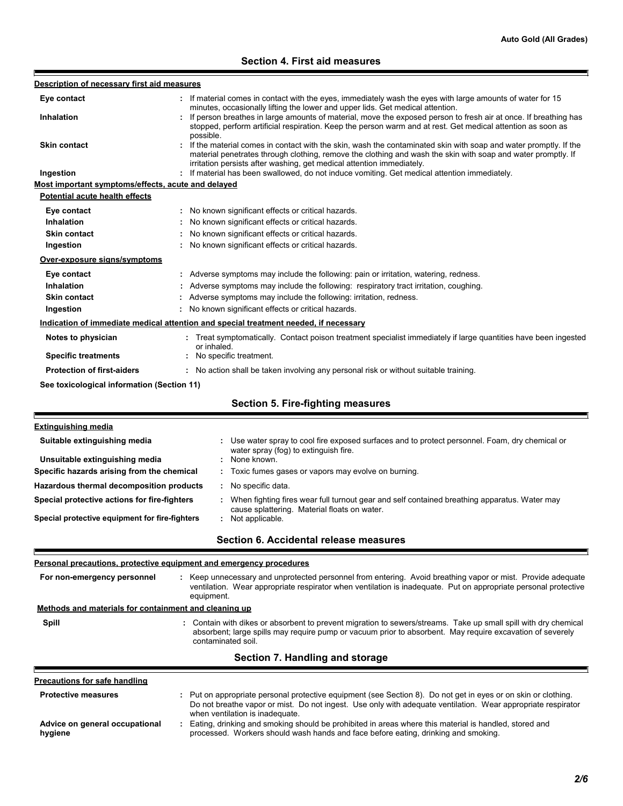## **Section 4. First aid measures**

ń

| Description of necessary first aid measures           |                                                                                                                                                                                                                                                                                                                    |  |  |  |
|-------------------------------------------------------|--------------------------------------------------------------------------------------------------------------------------------------------------------------------------------------------------------------------------------------------------------------------------------------------------------------------|--|--|--|
| Eye contact                                           | : If material comes in contact with the eyes, immediately wash the eyes with large amounts of water for 15                                                                                                                                                                                                         |  |  |  |
| Inhalation                                            | minutes, occasionally lifting the lower and upper lids. Get medical attention.<br>: If person breathes in large amounts of material, move the exposed person to fresh air at once. If breathing has<br>stopped, perform artificial respiration. Keep the person warm and at rest. Get medical attention as soon as |  |  |  |
| <b>Skin contact</b>                                   | possible.<br>: If the material comes in contact with the skin, wash the contaminated skin with soap and water promptly. If the<br>material penetrates through clothing, remove the clothing and wash the skin with soap and water promptly. If                                                                     |  |  |  |
| Ingestion                                             | irritation persists after washing, get medical attention immediately.<br>: If material has been swallowed, do not induce vomiting. Get medical attention immediately.                                                                                                                                              |  |  |  |
| Most important symptoms/effects, acute and delayed    |                                                                                                                                                                                                                                                                                                                    |  |  |  |
| <b>Potential acute health effects</b>                 |                                                                                                                                                                                                                                                                                                                    |  |  |  |
| Eye contact                                           | : No known significant effects or critical hazards.                                                                                                                                                                                                                                                                |  |  |  |
| <b>Inhalation</b>                                     | : No known significant effects or critical hazards.                                                                                                                                                                                                                                                                |  |  |  |
| <b>Skin contact</b>                                   | No known significant effects or critical hazards.                                                                                                                                                                                                                                                                  |  |  |  |
| Ingestion                                             | : No known significant effects or critical hazards.                                                                                                                                                                                                                                                                |  |  |  |
| Over-exposure signs/symptoms                          |                                                                                                                                                                                                                                                                                                                    |  |  |  |
|                                                       |                                                                                                                                                                                                                                                                                                                    |  |  |  |
| Eye contact                                           | : Adverse symptoms may include the following: pain or irritation, watering, redness.                                                                                                                                                                                                                               |  |  |  |
| Inhalation<br><b>Skin contact</b>                     | : Adverse symptoms may include the following: respiratory tract irritation, coughing.<br>: Adverse symptoms may include the following: irritation, redness.                                                                                                                                                        |  |  |  |
| Ingestion                                             | : No known significant effects or critical hazards.                                                                                                                                                                                                                                                                |  |  |  |
|                                                       |                                                                                                                                                                                                                                                                                                                    |  |  |  |
|                                                       | Indication of immediate medical attention and special treatment needed, if necessary                                                                                                                                                                                                                               |  |  |  |
| Notes to physician                                    | Treat symptomatically. Contact poison treatment specialist immediately if large quantities have been ingested<br>or inhaled.                                                                                                                                                                                       |  |  |  |
| <b>Specific treatments</b>                            | No specific treatment.                                                                                                                                                                                                                                                                                             |  |  |  |
| <b>Protection of first-aiders</b>                     | : No action shall be taken involving any personal risk or without suitable training.                                                                                                                                                                                                                               |  |  |  |
| See toxicological information (Section 11)            |                                                                                                                                                                                                                                                                                                                    |  |  |  |
|                                                       | <b>Section 5. Fire-fighting measures</b>                                                                                                                                                                                                                                                                           |  |  |  |
|                                                       |                                                                                                                                                                                                                                                                                                                    |  |  |  |
| <b>Extinguishing media</b>                            |                                                                                                                                                                                                                                                                                                                    |  |  |  |
| Suitable extinguishing media                          | Use water spray to cool fire exposed surfaces and to protect personnel. Foam, dry chemical or                                                                                                                                                                                                                      |  |  |  |
| Unsuitable extinguishing media                        | water spray (fog) to extinguish fire.<br>None known.                                                                                                                                                                                                                                                               |  |  |  |
| Specific hazards arising from the chemical            | : Toxic fumes gases or vapors may evolve on burning.                                                                                                                                                                                                                                                               |  |  |  |
| Hazardous thermal decomposition products              | : No specific data.                                                                                                                                                                                                                                                                                                |  |  |  |
| Special protective actions for fire-fighters          | : When fighting fires wear full turnout gear and self contained breathing apparatus. Water may<br>cause splattering. Material floats on water.                                                                                                                                                                     |  |  |  |
| Special protective equipment for fire-fighters        | : Not applicable.                                                                                                                                                                                                                                                                                                  |  |  |  |
|                                                       | Section 6. Accidental release measures                                                                                                                                                                                                                                                                             |  |  |  |
|                                                       | Personal precautions, protective equipment and emergency procedures                                                                                                                                                                                                                                                |  |  |  |
| For non-emergency personnel                           | : Keep unnecessary and unprotected personnel from entering. Avoid breathing vapor or mist. Provide adequate<br>ventilation. Wear appropriate respirator when ventilation is inadequate. Put on appropriate personal protective<br>equipment.                                                                       |  |  |  |
| Methods and materials for containment and cleaning up |                                                                                                                                                                                                                                                                                                                    |  |  |  |
|                                                       |                                                                                                                                                                                                                                                                                                                    |  |  |  |
| Spill                                                 | : Contain with dikes or absorbent to prevent migration to sewers/streams. Take up small spill with dry chemical<br>absorbent; large spills may require pump or vacuum prior to absorbent. May require excavation of severely<br>contaminated soil.                                                                 |  |  |  |
|                                                       | Section 7. Handling and storage                                                                                                                                                                                                                                                                                    |  |  |  |
| <b>Precautions for safe handling</b>                  |                                                                                                                                                                                                                                                                                                                    |  |  |  |
| <b>Protective measures</b>                            | : Put on appropriate personal protective equipment (see Section 8). Do not get in eyes or on skin or clothing.                                                                                                                                                                                                     |  |  |  |
|                                                       | Do not breathe vapor or mist. Do not ingest. Use only with adequate ventilation. Wear appropriate respirator<br>when ventilation is inadequate.                                                                                                                                                                    |  |  |  |
| Advice on general occupational<br>hygiene             | : Eating, drinking and smoking should be prohibited in areas where this material is handled, stored and<br>processed. Workers should wash hands and face before eating, drinking and smoking.                                                                                                                      |  |  |  |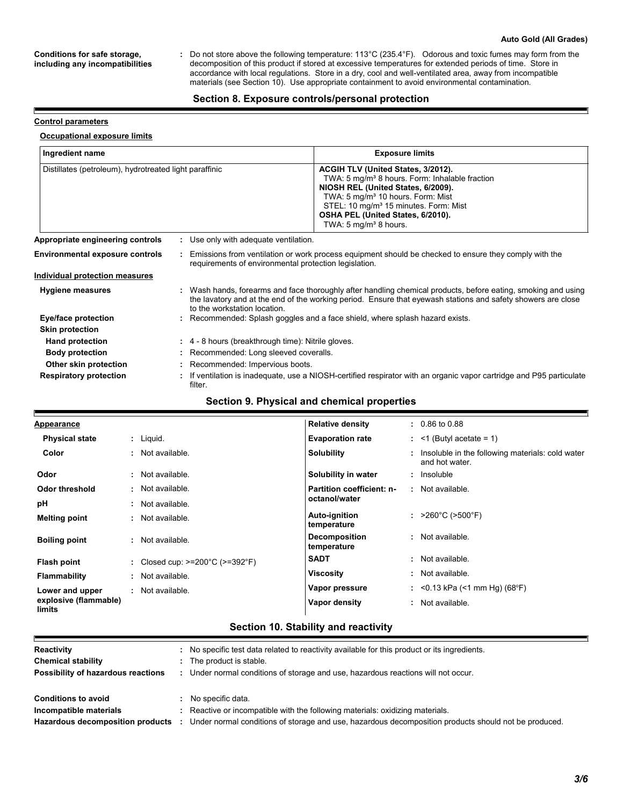#### **Auto Gold (All Grades)**

#### **Conditions for safe storage, including any incompatibilities**

Do not store above the following temperature: 113°C (235.4°F). Odorous and toxic fumes may form from the decomposition of this product if stored at excessive temperatures for extended periods of time. Store in accordance with local regulations. Store in a dry, cool and well-ventilated area, away from incompatible materials (see Section 10). Use appropriate containment to avoid environmental contamination. **:**

#### **Section 8. Exposure controls/personal protection**

#### **Control parameters**

F

#### **Occupational exposure limits**

| Ingredient name                                        |  |                                                                                                                                                                                                                                                               | <b>Exposure limits</b>                                                                                                                                                                                                                                                                                                 |  |  |
|--------------------------------------------------------|--|---------------------------------------------------------------------------------------------------------------------------------------------------------------------------------------------------------------------------------------------------------------|------------------------------------------------------------------------------------------------------------------------------------------------------------------------------------------------------------------------------------------------------------------------------------------------------------------------|--|--|
| Distillates (petroleum), hydrotreated light paraffinic |  |                                                                                                                                                                                                                                                               | ACGIH TLV (United States, 3/2012).<br>TWA: 5 mg/m <sup>3</sup> 8 hours. Form: Inhalable fraction<br>NIOSH REL (United States, 6/2009).<br>TWA: 5 mg/m <sup>3</sup> 10 hours. Form: Mist<br>STEL: 10 mg/m <sup>3</sup> 15 minutes. Form: Mist<br>OSHA PEL (United States, 6/2010).<br>TWA: 5 mg/m <sup>3</sup> 8 hours. |  |  |
| Appropriate engineering controls                       |  | : Use only with adequate ventilation.                                                                                                                                                                                                                         |                                                                                                                                                                                                                                                                                                                        |  |  |
| <b>Environmental exposure controls</b>                 |  | requirements of environmental protection legislation.                                                                                                                                                                                                         | : Emissions from ventilation or work process equipment should be checked to ensure they comply with the                                                                                                                                                                                                                |  |  |
| Individual protection measures                         |  |                                                                                                                                                                                                                                                               |                                                                                                                                                                                                                                                                                                                        |  |  |
| <b>Hygiene measures</b>                                |  | : Wash hands, forearms and face thoroughly after handling chemical products, before eating, smoking and using<br>the lavatory and at the end of the working period. Ensure that eyewash stations and safety showers are close<br>to the workstation location. |                                                                                                                                                                                                                                                                                                                        |  |  |
| Eye/face protection                                    |  | : Recommended: Splash goggles and a face shield, where splash hazard exists.                                                                                                                                                                                  |                                                                                                                                                                                                                                                                                                                        |  |  |
| <b>Skin protection</b>                                 |  |                                                                                                                                                                                                                                                               |                                                                                                                                                                                                                                                                                                                        |  |  |
| <b>Hand protection</b>                                 |  | $\div$ 4 - 8 hours (breakthrough time): Nitrile gloves.                                                                                                                                                                                                       |                                                                                                                                                                                                                                                                                                                        |  |  |
| <b>Body protection</b>                                 |  | : Recommended: Long sleeved coveralls.                                                                                                                                                                                                                        |                                                                                                                                                                                                                                                                                                                        |  |  |
| Other skin protection                                  |  | : Recommended: Impervious boots.                                                                                                                                                                                                                              |                                                                                                                                                                                                                                                                                                                        |  |  |
| <b>Respiratory protection</b>                          |  | : If ventilation is inadequate, use a NIOSH-certified respirator with an organic vapor cartridge and P95 particulate<br>filter.                                                                                                                               |                                                                                                                                                                                                                                                                                                                        |  |  |

#### **Section 9. Physical and chemical properties**

| <u>Appearance</u>               |    |                                                      | <b>Relative density</b>             | $: 0.86 \text{ to } 0.88$                                            |
|---------------------------------|----|------------------------------------------------------|-------------------------------------|----------------------------------------------------------------------|
| <b>Physical state</b>           |    | $:$ Liquid.                                          | <b>Evaporation rate</b>             | $:$ <1 (Butyl acetate = 1)                                           |
| Color                           |    | : Not available.                                     | <b>Solubility</b>                   | : Insoluble in the following materials: cold water<br>and hot water. |
| Odor                            |    | : Not available.                                     | Solubility in water                 | : Insoluble                                                          |
| Odor threshold                  |    | : Not available.                                     | Partition coefficient: n-           | : Not available.                                                     |
| рH                              | ÷. | Not available.                                       | octanol/water                       |                                                                      |
| <b>Melting point</b>            | ÷. | Not available.                                       | Auto-ignition<br>temperature        | : $>260^{\circ}$ C ( $>500^{\circ}$ F)                               |
| <b>Boiling point</b>            |    | : Not available.                                     | <b>Decomposition</b><br>temperature | : Not available.                                                     |
| Flash point                     |    | : Closed cup: $>=200^{\circ}$ C ( $>=392^{\circ}$ F) | <b>SADT</b>                         | : Not available.                                                     |
| <b>Flammability</b>             |    | : Not available.                                     | Viscosity                           | : Not available.                                                     |
| Lower and upper                 |    | : Not available.                                     | Vapor pressure                      | : <0.13 kPa (<1 mm Hg) (68°F)                                        |
| explosive (flammable)<br>limits |    |                                                      | Vapor density                       | Not available.                                                       |

## **Section 10. Stability and reactivity**

| Reactivity                         | No specific test data related to reactivity available for this product or its ingredients.           |
|------------------------------------|------------------------------------------------------------------------------------------------------|
| <b>Chemical stability</b>          | The product is stable.                                                                               |
| Possibility of hazardous reactions | Under normal conditions of storage and use, hazardous reactions will not occur.                      |
|                                    |                                                                                                      |
| <b>Conditions to avoid</b>         | No specific data.                                                                                    |
| Incompatible materials             | Reactive or incompatible with the following materials: oxidizing materials.                          |
| Hazardous decomposition products   | Under normal conditions of storage and use, hazardous decomposition products should not be produced. |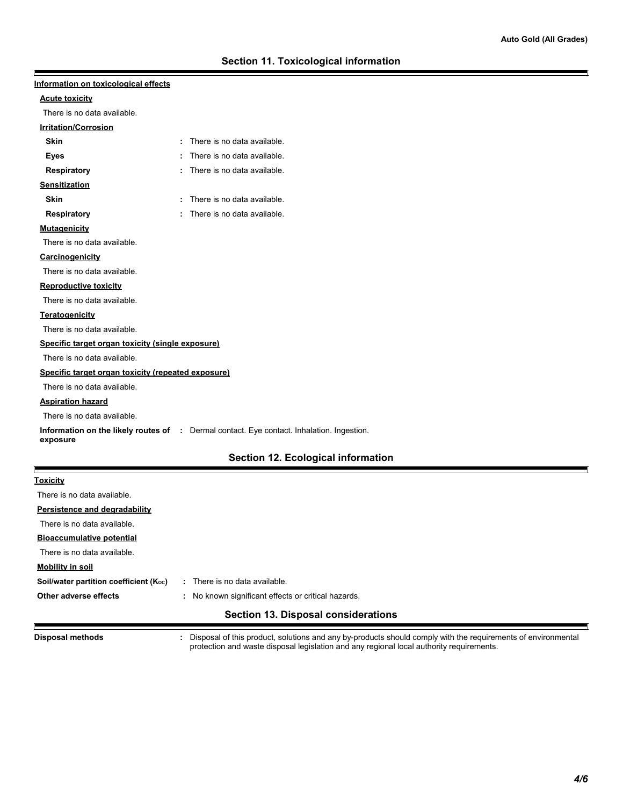| Information on toxicological effects               |                                                                                                  |
|----------------------------------------------------|--------------------------------------------------------------------------------------------------|
| <b>Acute toxicity</b>                              |                                                                                                  |
| There is no data available.                        |                                                                                                  |
| <b>Irritation/Corrosion</b>                        |                                                                                                  |
| <b>Skin</b>                                        | : There is no data available.                                                                    |
| Eyes                                               | There is no data available.                                                                      |
| <b>Respiratory</b>                                 | There is no data available.                                                                      |
| <b>Sensitization</b>                               |                                                                                                  |
| <b>Skin</b>                                        | : There is no data available.                                                                    |
| Respiratory                                        | There is no data available.                                                                      |
| <b>Mutagenicity</b>                                |                                                                                                  |
| There is no data available.                        |                                                                                                  |
| Carcinogenicity                                    |                                                                                                  |
| There is no data available.                        |                                                                                                  |
| <b>Reproductive toxicity</b>                       |                                                                                                  |
| There is no data available.                        |                                                                                                  |
| <b>Teratogenicity</b>                              |                                                                                                  |
| There is no data available.                        |                                                                                                  |
| Specific target organ toxicity (single exposure)   |                                                                                                  |
| There is no data available.                        |                                                                                                  |
| Specific target organ toxicity (repeated exposure) |                                                                                                  |
| There is no data available.                        |                                                                                                  |
| <b>Aspiration hazard</b>                           |                                                                                                  |
| There is no data available.                        |                                                                                                  |
| exposure                                           | <b>Information on the likely routes of :</b> Dermal contact. Eye contact. Inhalation. Ingestion. |
|                                                    | Section 12. Ecological information                                                               |
| <u>Toxicity</u>                                    |                                                                                                  |
| There is no data available.                        |                                                                                                  |
| Persistence and degradability                      |                                                                                                  |
| There is no data available.                        |                                                                                                  |
| <b>Bioaccumulative potential</b>                   |                                                                                                  |
| There is no data available.                        |                                                                                                  |
| <b>Mobility in soil</b>                            |                                                                                                  |
| Soil/water partition coefficient (Koc)             | : There is no data available.                                                                    |
| Other adverse effects                              | : No known significant effects or critical hazards.                                              |

## **Section 13. Disposal considerations**

**Disposal methods :**

E

Disposal of this product, solutions and any by-products should comply with the requirements of environmental protection and waste disposal legislation and any regional local authority requirements.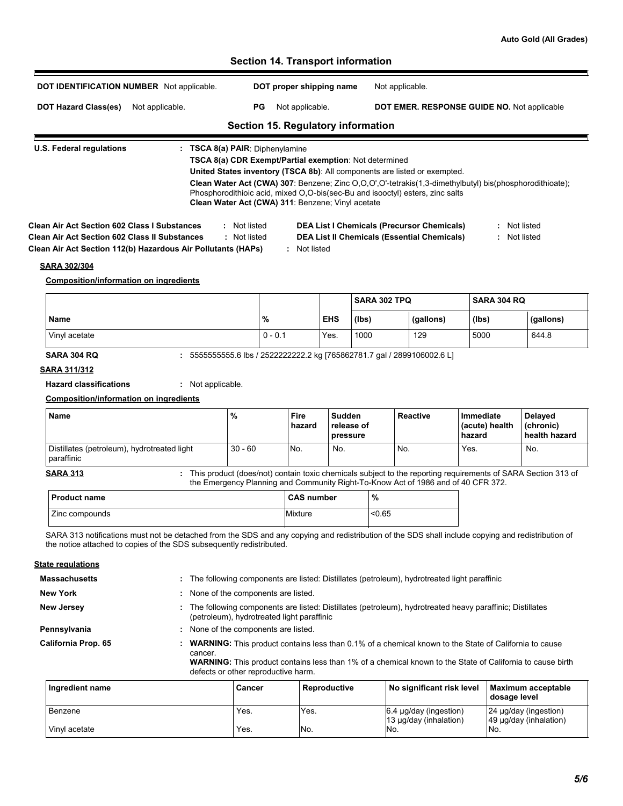## **Section 14. Transport information** r **DOT IDENTIFICATION NUMBER** Not applicable. **DOT proper shipping name** Not applicable. DOT Hazard Class(es) Not applicable. PG Not applicable. **DOT EMER. RESPONSE GUIDE NO.** Not applicable **Section 15. Regulatory information U.S. Federal regulations : TSCA 8(a) PAIR**: Diphenylamine **TSCA 8(a) CDR Exempt/Partial exemption**: Not determined **United States inventory (TSCA 8b)**: All components are listed or exempted. **Clean Water Act (CWA) 307**: Benzene; Zinc O,O,O',O'-tetrakis(1,3-dimethylbutyl) bis(phosphorodithioate); Phosphorodithioic acid, mixed O,O-bis(sec-Bu and isooctyl) esters, zinc salts **Clean Water Act (CWA) 311**: Benzene; Vinyl acetate **Clean Air Act Section 602 Class I Substances :** Not listed **DEA List I Chemicals (Precursor Chemicals) :** Not listed **Clean Air Act Section 602 Class II Substances :** Not listed **DEA List II Chemicals (Essential Chemicals) :** Not listed **Clean Air Act Section 112(b) Hazardous Air Pollutants (HAPs) :** Not listed **SARA 302/304 Composition/information on ingredients SARA 302 TPQ SARA 304 RQ Name % EHS (lbs) (gallons) (lbs) (gallons)** Vinyl acetate 0 - 0.1 Yes. 1000 129 5000 644.8 **SARA 304 RQ :** 5555555555.6 lbs / 2522222222.2 kg [765862781.7 gal / 2899106002.6 L] **SARA 311/312 Hazard classifications :** Not applicable.

#### **Composition/information on ingredients**

| <b>Name</b>                                               | %         | Fire<br>hazard | Sudden<br><b>release of</b><br><b>pressure</b> | Reactive | Immediate<br>l (acute) health<br>hazard | Delayed<br>(chronic)<br>health hazard |
|-----------------------------------------------------------|-----------|----------------|------------------------------------------------|----------|-----------------------------------------|---------------------------------------|
| Distillates (petroleum), hydrotreated light<br>paraffinic | $30 - 60$ | No.            | No.                                            | No.      | Yes.                                    | No.                                   |

**SARA 313**

This product (does/not) contain toxic chemicals subject to the reporting requirements of SARA Section 313 of the Emergency Planning and Community Right-To-Know Act of 1986 and of 40 CFR 372. **:**

| l Product name | <b>CAS number</b> | %      |
|----------------|-------------------|--------|
| Zinc compounds | Mixture           | < 0.65 |

SARA 313 notifications must not be detached from the SDS and any copying and redistribution of the SDS shall include copying and redistribution of the notice attached to copies of the SDS subsequently redistributed.

#### **State regulations**

| <b>Massachusetts</b> |              |                                     |                                            | : The following components are listed: Distillates (petroleum), hydrotreated light paraffinic                                                                                                                                    |                                                 |
|----------------------|--------------|-------------------------------------|--------------------------------------------|----------------------------------------------------------------------------------------------------------------------------------------------------------------------------------------------------------------------------------|-------------------------------------------------|
| <b>New York</b>      |              | None of the components are listed.  |                                            |                                                                                                                                                                                                                                  |                                                 |
| <b>New Jersey</b>    |              |                                     | (petroleum), hydrotreated light paraffinic | The following components are listed: Distillates (petroleum), hydrotreated heavy paraffinic; Distillates                                                                                                                         |                                                 |
| Pennsylvania         |              | None of the components are listed.  |                                            |                                                                                                                                                                                                                                  |                                                 |
| California Prop. 65  | ÷<br>cancer. | defects or other reproductive harm. |                                            | <b>WARNING:</b> This product contains less than 0.1% of a chemical known to the State of California to cause<br><b>WARNING:</b> This product contains less than 1% of a chemical known to the State of California to cause birth |                                                 |
| Ingredient name      |              | Cancer                              | Reproductive                               | No significant risk level                                                                                                                                                                                                        | Maximum acceptable<br>dosage level              |
| Benzene              |              | Yes.                                | Yes.                                       | $6.4 \mu$ g/day (ingestion)<br>13 µg/day (inhalation)                                                                                                                                                                            | 24 µg/day (ingestion)<br>49 µg/day (inhalation) |
| Vinyl acetate        |              | Yes.                                | No.                                        | No.                                                                                                                                                                                                                              | No.                                             |